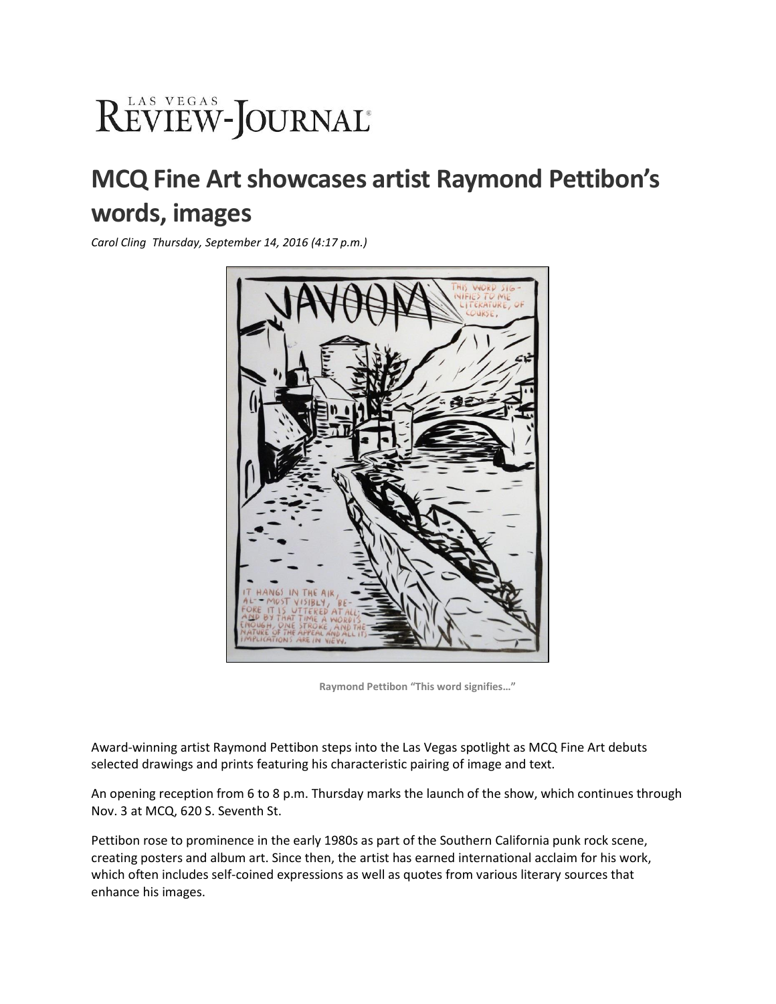## REVIEW-JOURNAL®

## **MCQ Fine Art showcases artist Raymond Pettibon's words, images**

*Carol Cling Thursday, September 14, 2016 (4:17 p.m.)*



**Raymond Pettibon "This word signifies…"**

Award-winning artist Raymond Pettibon steps into the Las Vegas spotlight as MCQ Fine Art debuts selected drawings and prints featuring his characteristic pairing of image and text.

An opening reception from 6 to 8 p.m. Thursday marks the launch of the show, which continues through Nov. 3 at MCQ, 620 S. Seventh St.

Pettibon rose to prominence in the early 1980s as part of the Southern California punk rock scene, creating posters and album art. Since then, the artist has earned international acclaim for his work, which often includes self-coined expressions as well as quotes from various literary sources that enhance his images.